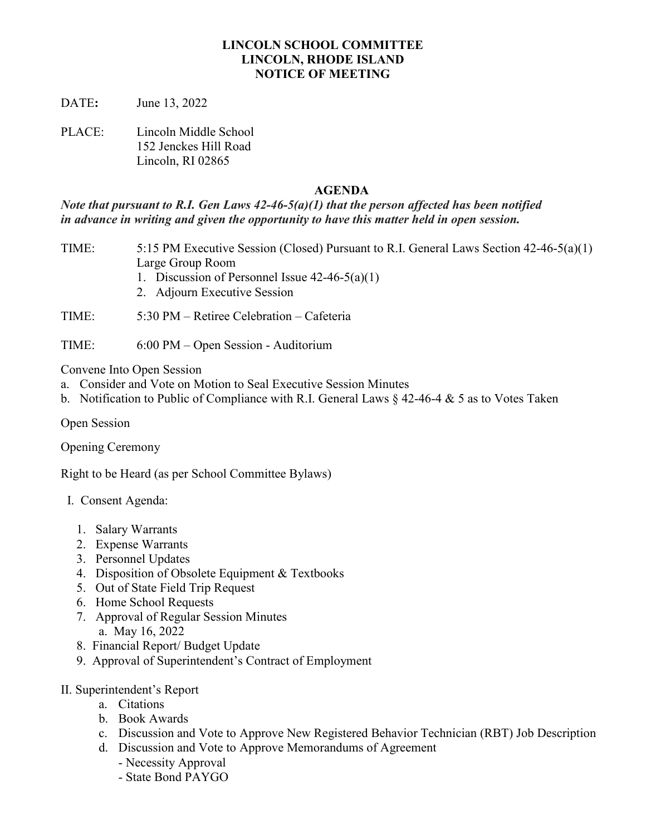#### **LINCOLN SCHOOL COMMITTEE LINCOLN, RHODE ISLAND NOTICE OF MEETING**

DATE**:** June 13, 2022

PLACE: Lincoln Middle School 152 Jenckes Hill Road Lincoln, RI 02865

#### **AGENDA**

*Note that pursuant to R.I. Gen Laws 42-46-5(a)(1) that the person affected has been notified in advance in writing and given the opportunity to have this matter held in open session.*

- TIME: 5:15 PM Executive Session (Closed) Pursuant to R.I. General Laws Section 42-46-5(a)(1) Large Group Room
	- 1. Discussion of Personnel Issue 42-46-5(a)(1)
	- 2. Adjourn Executive Session

TIME: 5:30 PM – Retiree Celebration – Cafeteria

TIME: 6:00 PM – Open Session - Auditorium

Convene Into Open Session

- a. Consider and Vote on Motion to Seal Executive Session Minutes
- b. Notification to Public of Compliance with R.I. General Laws  $\S$  42-46-4  $\&$  5 as to Votes Taken

Open Session

Opening Ceremony

Right to be Heard (as per School Committee Bylaws)

- I. Consent Agenda:
	- 1. Salary Warrants
	- 2. Expense Warrants
	- 3. Personnel Updates
	- 4. Disposition of Obsolete Equipment & Textbooks
	- 5. Out of State Field Trip Request
	- 6. Home School Requests
	- 7. Approval of Regular Session Minutes a. May 16, 2022
	- 8. Financial Report/ Budget Update
	- 9. Approval of Superintendent's Contract of Employment
- II. Superintendent's Report
	- a. Citations
	- b. Book Awards
	- c. Discussion and Vote to Approve New Registered Behavior Technician (RBT) Job Description
	- d. Discussion and Vote to Approve Memorandums of Agreement
		- Necessity Approval
		- State Bond PAYGO